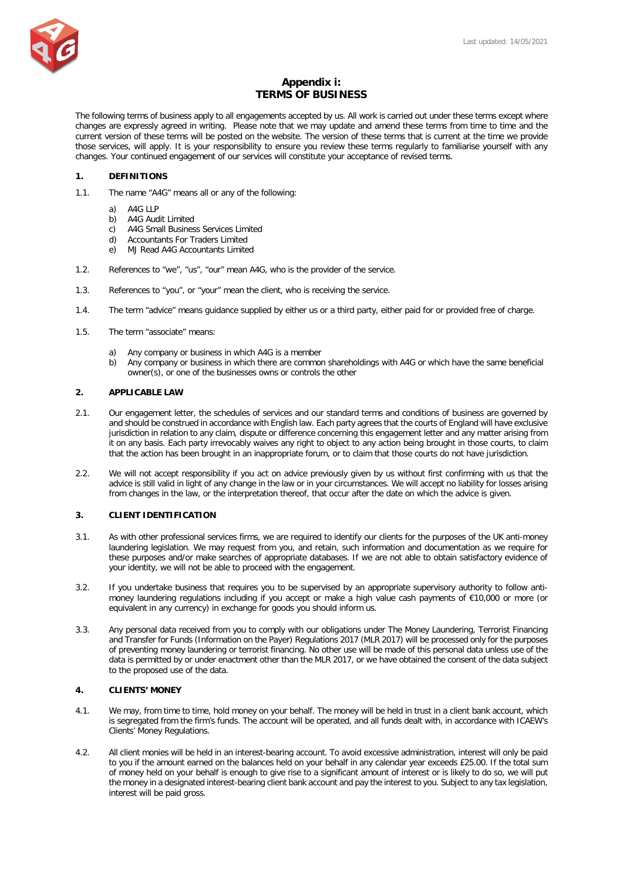

# **Appendix i: TERMS OF BUSINESS**

The following terms of business apply to all engagements accepted by us. All work is carried out under these terms except where changes are expressly agreed in writing. Please note that we may update and amend these terms from time to time and the current version of these terms will be posted on the website. The version of these terms that is current at the time we provide those services, will apply. It is your responsibility to ensure you review these terms regularly to familiarise yourself with any changes. Your continued engagement of our services will constitute your acceptance of revised terms.

#### **1. DEFINITIONS**

- 1.1. The name "A4G" means all or any of the following:
	- a) A4G LLP
	- b) A4G Audit Limited
	- c) A4G Small Business Services Limited
	- d) Accountants For Traders Limited e) MJ Read A4G Accountants Limited
	-
- 1.2. References to "we", "us", "our" mean A4G, who is the provider of the service.
- 1.3. References to "you", or "your" mean the client, who is receiving the service.
- 1.4. The term "advice" means guidance supplied by either us or a third party, either paid for or provided free of charge.
- 1.5. The term "associate" means:
	- a) Any company or business in which A4G is a member
	- b) Any company or business in which there are common shareholdings with A4G or which have the same beneficial owner(s), or one of the businesses owns or controls the other

#### **2. APPLICABLE LAW**

- 2.1. Our engagement letter, the schedules of services and our standard terms and conditions of business are governed by and should be construed in accordance with English law. Each party agrees that the courts of England will have exclusive jurisdiction in relation to any claim, dispute or difference concerning this engagement letter and any matter arising from it on any basis. Each party irrevocably waives any right to object to any action being brought in those courts, to claim that the action has been brought in an inappropriate forum, or to claim that those courts do not have jurisdiction.
- 2.2. We will not accept responsibility if you act on advice previously given by us without first confirming with us that the advice is still valid in light of any change in the law or in your circumstances. We will accept no liability for losses arising from changes in the law, or the interpretation thereof, that occur after the date on which the advice is given.

#### **3. CLIENT IDENTIFICATION**

- 3.1. As with other professional services firms, we are required to identify our clients for the purposes of the UK anti-money laundering legislation. We may request from you, and retain, such information and documentation as we require for these purposes and/or make searches of appropriate databases. If we are not able to obtain satisfactory evidence of your identity, we will not be able to proceed with the engagement.
- 3.2. If you undertake business that requires you to be supervised by an appropriate supervisory authority to follow antimoney laundering regulations including if you accept or make a high value cash payments of €10,000 or more (or equivalent in any currency) in exchange for goods you should inform us.
- 3.3. Any personal data received from you to comply with our obligations under The Money Laundering, Terrorist Financing and Transfer for Funds (Information on the Payer) Regulations 2017 (MLR 2017) will be processed only for the purposes of preventing money laundering or terrorist financing. No other use will be made of this personal data unless use of the data is permitted by or under enactment other than the MLR 2017, or we have obtained the consent of the data subject to the proposed use of the data.

#### **4. CLIENTS' MONEY**

- 4.1. We may, from time to time, hold money on your behalf. The money will be held in trust in a client bank account, which is segregated from the firm's funds. The account will be operated, and all funds dealt with, in accordance with ICAEW's Clients' Money Regulations.
- 4.2. All client monies will be held in an interest-bearing account. To avoid excessive administration, interest will only be paid to you if the amount earned on the balances held on your behalf in any calendar year exceeds £25.00. If the total sum of money held on your behalf is enough to give rise to a significant amount of interest or is likely to do so, we will put the money in a designated interest-bearing client bank account and pay the interest to you. Subject to any tax legislation, interest will be paid gross.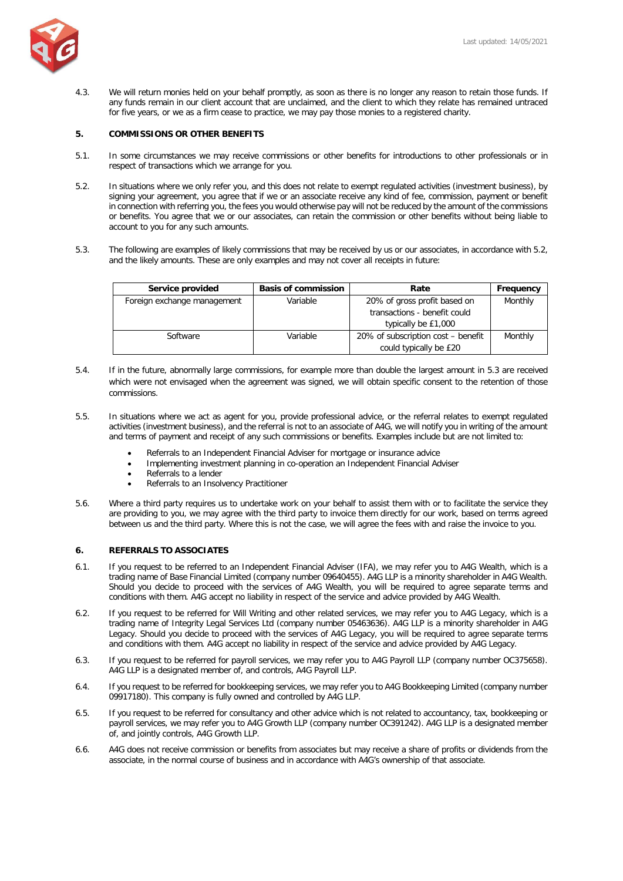

4.3. We will return monies held on your behalf promptly, as soon as there is no longer any reason to retain those funds. If any funds remain in our client account that are unclaimed, and the client to which they relate has remained untraced for five years, or we as a firm cease to practice, we may pay those monies to a registered charity.

### **5. COMMISSIONS OR OTHER BENEFITS**

- 5.1. In some circumstances we may receive commissions or other benefits for introductions to other professionals or in respect of transactions which we arrange for you.
- 5.2. In situations where we only refer you, and this does not relate to exempt regulated activities (investment business), by signing your agreement, you agree that if we or an associate receive any kind of fee, commission, payment or benefit in connection with referring you, the fees you would otherwise pay will not be reduced by the amount of the commissions or benefits. You agree that we or our associates, can retain the commission or other benefits without being liable to account to you for any such amounts.
- 5.3. The following are examples of likely commissions that may be received by us or our associates, in accordance with 5.2, and the likely amounts. These are only examples and may not cover all receipts in future:

| Service provided            | <b>Basis of commission</b> | Rate                               | Frequency |
|-----------------------------|----------------------------|------------------------------------|-----------|
| Foreign exchange management | Variable                   | 20% of gross profit based on       | Monthly   |
|                             |                            | transactions - benefit could       |           |
|                             |                            | typically be £1,000                |           |
| Software                    | Variable                   | 20% of subscription cost – benefit | Monthly   |
|                             |                            | could typically be £20             |           |

- 5.4. If in the future, abnormally large commissions, for example more than double the largest amount in 5.3 are received which were not envisaged when the agreement was signed, we will obtain specific consent to the retention of those commissions.
- 5.5. In situations where we act as agent for you, provide professional advice, or the referral relates to exempt regulated activities (investment business), and the referral is not to an associate of A4G, we will notify you in writing of the amount and terms of payment and receipt of any such commissions or benefits. Examples include but are not limited to:
	- Referrals to an Independent Financial Adviser for mortgage or insurance advice
	- Implementing investment planning in co-operation an Independent Financial Adviser
	- Referrals to a lender
	- Referrals to an Insolvency Practitioner
- 5.6. Where a third party requires us to undertake work on your behalf to assist them with or to facilitate the service they are providing to you, we may agree with the third party to invoice them directly for our work, based on terms agreed between us and the third party. Where this is not the case, we will agree the fees with and raise the invoice to you.

### **6. REFERRALS TO ASSOCIATES**

- 6.1. If you request to be referred to an Independent Financial Adviser (IFA), we may refer you to A4G Wealth, which is a trading name of Base Financial Limited (company number 09640455). A4G LLP is a minority shareholder in A4G Wealth. Should you decide to proceed with the services of A4G Wealth, you will be required to agree separate terms and conditions with them. A4G accept no liability in respect of the service and advice provided by A4G Wealth.
- 6.2. If you request to be referred for Will Writing and other related services, we may refer you to A4G Legacy, which is a trading name of Integrity Legal Services Ltd (company number 05463636). A4G LLP is a minority shareholder in A4G Legacy. Should you decide to proceed with the services of A4G Legacy, you will be required to agree separate terms and conditions with them. A4G accept no liability in respect of the service and advice provided by A4G Legacy.
- 6.3. If you request to be referred for payroll services, we may refer you to A4G Payroll LLP (company number OC375658). A4G LLP is a designated member of, and controls, A4G Payroll LLP.
- 6.4. If you request to be referred for bookkeeping services, we may refer you to A4G Bookkeeping Limited (company number 09917180). This company is fully owned and controlled by A4G LLP.
- 6.5. If you request to be referred for consultancy and other advice which is not related to accountancy, tax, bookkeeping or payroll services, we may refer you to A4G Growth LLP (company number OC391242). A4G LLP is a designated member of, and jointly controls, A4G Growth LLP.
- 6.6. A4G does not receive commission or benefits from associates but may receive a share of profits or dividends from the associate, in the normal course of business and in accordance with A4G's ownership of that associate.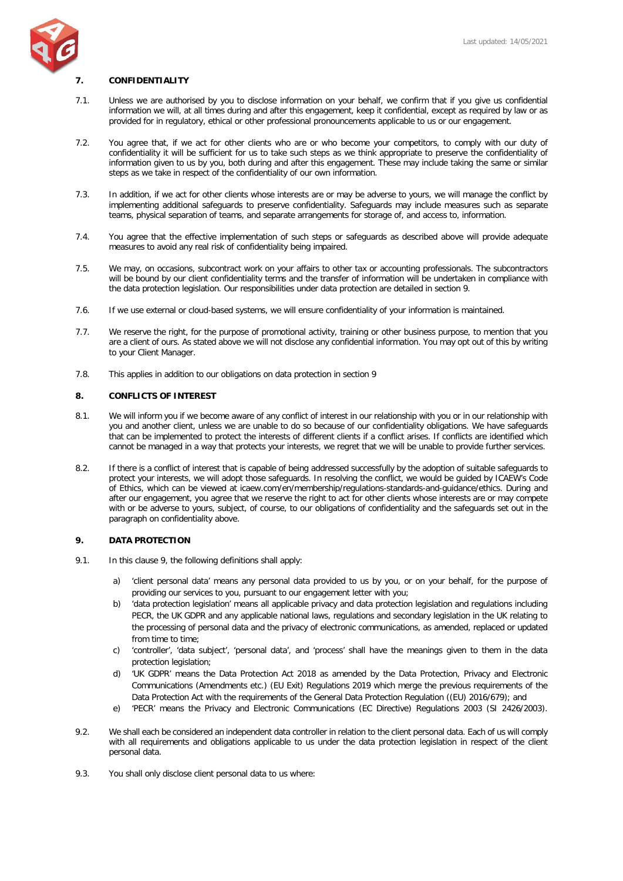

#### **7. CONFIDENTIALITY**

- 7.1. Unless we are authorised by you to disclose information on your behalf, we confirm that if you give us confidential information we will, at all times during and after this engagement, keep it confidential, except as required by law or as provided for in regulatory, ethical or other professional pronouncements applicable to us or our engagement.
- 7.2. You agree that, if we act for other clients who are or who become your competitors, to comply with our duty of confidentiality it will be sufficient for us to take such steps as we think appropriate to preserve the confidentiality of information given to us by you, both during and after this engagement. These may include taking the same or similar steps as we take in respect of the confidentiality of our own information.
- 7.3. In addition, if we act for other clients whose interests are or may be adverse to yours, we will manage the conflict by implementing additional safeguards to preserve confidentiality. Safeguards may include measures such as separate teams, physical separation of teams, and separate arrangements for storage of, and access to, information.
- 7.4. You agree that the effective implementation of such steps or safeguards as described above will provide adequate measures to avoid any real risk of confidentiality being impaired.
- 7.5. We may, on occasions, subcontract work on your affairs to other tax or accounting professionals. The subcontractors will be bound by our client confidentiality terms and the transfer of information will be undertaken in compliance with the data protection legislation. Our responsibilities under data protection are detailed in section 9.
- 7.6. If we use external or cloud-based systems, we will ensure confidentiality of your information is maintained.
- 7.7. We reserve the right, for the purpose of promotional activity, training or other business purpose, to mention that you are a client of ours. As stated above we will not disclose any confidential information. You may opt out of this by writing to your Client Manager.
- 7.8. This applies in addition to our obligations on data protection in section 9

#### **8. CONFLICTS OF INTEREST**

- 8.1. We will inform you if we become aware of any conflict of interest in our relationship with you or in our relationship with you and another client, unless we are unable to do so because of our confidentiality obligations. We have safeguards that can be implemented to protect the interests of different clients if a conflict arises. If conflicts are identified which cannot be managed in a way that protects your interests, we regret that we will be unable to provide further services.
- 8.2. If there is a conflict of interest that is capable of being addressed successfully by the adoption of suitable safeguards to protect your interests, we will adopt those safeguards. In resolving the conflict, we would be guided by ICAEW's Code of Ethics, which can be viewed at [icaew.com/en/membership/regulations-standards-and-guidance/ethics.](https://www.icaew.com/en/membership/regulations-standards-and-guidance/ethics) During and after our engagement, you agree that we reserve the right to act for other clients whose interests are or may compete with or be adverse to yours, subject, of course, to our obligations of confidentiality and the safeguards set out in the paragraph on confidentiality above.

#### **9. DATA PROTECTION**

- 9.1. In this clause 9, the following definitions shall apply:
	- a) 'client personal data' means any personal data provided to us by you, or on your behalf, for the purpose of providing our services to you, pursuant to our engagement letter with you;
	- b) 'data protection legislation' means all applicable privacy and data protection legislation and regulations including PECR, the UK GDPR and any applicable national laws, regulations and secondary legislation in the UK relating to the processing of personal data and the privacy of electronic communications, as amended, replaced or updated from time to time:
	- c) 'controller', 'data subject', 'personal data', and 'process' shall have the meanings given to them in the data protection legislation;
	- d) 'UK GDPR' means the Data Protection Act 2018 as amended by the Data Protection, Privacy and Electronic Communications (Amendments etc.) (EU Exit) Regulations 2019 which merge the previous requirements of the Data Protection Act with the requirements of the General Data Protection Regulation ((EU) 2016/679); and
	- e) 'PECR' means the Privacy and Electronic Communications (EC Directive) Regulations 2003 (SI 2426/2003).
- 9.2. We shall each be considered an independent data controller in relation to the client personal data. Each of us will comply with all requirements and obligations applicable to us under the data protection legislation in respect of the client personal data.
- 9.3. You shall only disclose client personal data to us where: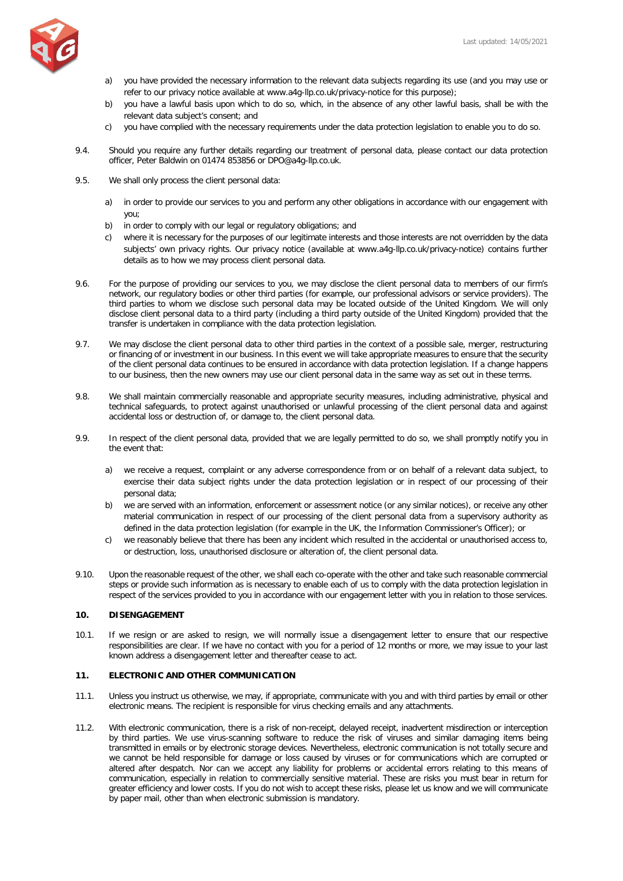

- a) you have provided the necessary information to the relevant data subjects regarding its use (and you may use or refer to our privacy notice available at [www.a4g-llp.co.uk/privacy-notice](https://www.a4g-llp.co.uk/privacy-policy) for this purpose);
- b) you have a lawful basis upon which to do so, which, in the absence of any other lawful basis, shall be with the relevant data subject's consent; and
- c) you have complied with the necessary requirements under the data protection legislation to enable you to do so.
- 9.4. Should you require any further details regarding our treatment of personal data, please contact our data protection officer, Peter Baldwin on 01474 853856 or [DPO@a4g-llp.co.uk.](mailto:DPO@a4g-llp.co.uk)
- 9.5. We shall only process the client personal data:
	- a) in order to provide our services to you and perform any other obligations in accordance with our engagement with you;
	- b) in order to comply with our legal or regulatory obligations; and
	- c) where it is necessary for the purposes of our legitimate interests and those interests are not overridden by the data subjects' own privacy rights. Our privacy notice (available at [www.a4g-llp.co.uk/privacy-notice\)](https://www.a4g-llp.co.uk/privacy-policy) contains further details as to how we may process client personal data.
- 9.6. For the purpose of providing our services to you, we may disclose the client personal data to members of our firm's network, our regulatory bodies or other third parties (for example, our professional advisors or service providers). The third parties to whom we disclose such personal data may be located outside of the United Kingdom. We will only disclose client personal data to a third party (including a third party outside of the United Kingdom) provided that the transfer is undertaken in compliance with the data protection legislation.
- 9.7. We may disclose the client personal data to other third parties in the context of a possible sale, merger, restructuring or financing of or investment in our business. In this event we will take appropriate measures to ensure that the security of the client personal data continues to be ensured in accordance with data protection legislation. If a change happens to our business, then the new owners may use our client personal data in the same way as set out in these terms.
- 9.8. We shall maintain commercially reasonable and appropriate security measures, including administrative, physical and technical safeguards, to protect against unauthorised or unlawful processing of the client personal data and against accidental loss or destruction of, or damage to, the client personal data.
- 9.9. In respect of the client personal data, provided that we are legally permitted to do so, we shall promptly notify you in the event that:
	- a) we receive a request, complaint or any adverse correspondence from or on behalf of a relevant data subject, to exercise their data subject rights under the data protection legislation or in respect of our processing of their personal data;
	- b) we are served with an information, enforcement or assessment notice (or any similar notices), or receive any other material communication in respect of our processing of the client personal data from a supervisory authority as defined in the data protection legislation (for example in the UK, the Information Commissioner's Officer); or
	- c) we reasonably believe that there has been any incident which resulted in the accidental or unauthorised access to, or destruction, loss, unauthorised disclosure or alteration of, the client personal data.
- 9.10. Upon the reasonable request of the other, we shall each co-operate with the other and take such reasonable commercial steps or provide such information as is necessary to enable each of us to comply with the data protection legislation in respect of the services provided to you in accordance with our engagement letter with you in relation to those services.

## **10. DISENGAGEMENT**

10.1. If we resign or are asked to resign, we will normally issue a disengagement letter to ensure that our respective responsibilities are clear. If we have no contact with you for a period of 12 months or more, we may issue to your last known address a disengagement letter and thereafter cease to act.

### **11. ELECTRONIC AND OTHER COMMUNICATION**

- 11.1. Unless you instruct us otherwise, we may, if appropriate, communicate with you and with third parties by email or other electronic means. The recipient is responsible for virus checking emails and any attachments.
- 11.2. With electronic communication, there is a risk of non-receipt, delayed receipt, inadvertent misdirection or interception by third parties. We use virus-scanning software to reduce the risk of viruses and similar damaging items being transmitted in emails or by electronic storage devices. Nevertheless, electronic communication is not totally secure and we cannot be held responsible for damage or loss caused by viruses or for communications which are corrupted or altered after despatch. Nor can we accept any liability for problems or accidental errors relating to this means of communication, especially in relation to commercially sensitive material. These are risks you must bear in return for greater efficiency and lower costs. If you do not wish to accept these risks, please let us know and we will communicate by paper mail, other than when electronic submission is mandatory.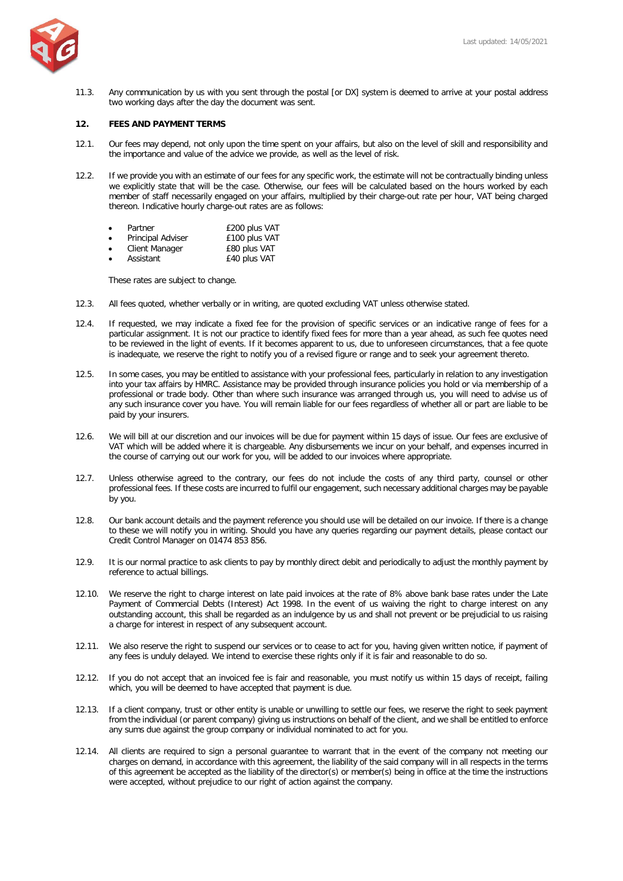

11.3. Any communication by us with you sent through the postal [or DX] system is deemed to arrive at your postal address two working days after the day the document was sent.

### **12. FEES AND PAYMENT TERMS**

- 12.1. Our fees may depend, not only upon the time spent on your affairs, but also on the level of skill and responsibility and the importance and value of the advice we provide, as well as the level of risk.
- 12.2. If we provide you with an estimate of our fees for any specific work, the estimate will not be contractually binding unless we explicitly state that will be the case. Otherwise, our fees will be calculated based on the hours worked by each member of staff necessarily engaged on your affairs, multiplied by their charge-out rate per hour, VAT being charged thereon. Indicative hourly charge-out rates are as follows:

| Partner | £200 plus VAT |
|---------|---------------|
|         | 0.40011111T   |

| Principal Adviser | £100 plus VAT      |
|-------------------|--------------------|
| Client Monogar    | $0.00 \times 1.00$ |

Client Manager **E80 plus VAT** • Assistant £40 plus VAT

These rates are subject to change.

- 12.3. All fees quoted, whether verbally or in writing, are quoted excluding VAT unless otherwise stated.
- 12.4. If requested, we may indicate a fixed fee for the provision of specific services or an indicative range of fees for a particular assignment. It is not our practice to identify fixed fees for more than a year ahead, as such fee quotes need to be reviewed in the light of events. If it becomes apparent to us, due to unforeseen circumstances, that a fee quote is inadequate, we reserve the right to notify you of a revised figure or range and to seek your agreement thereto.
- 12.5. In some cases, you may be entitled to assistance with your professional fees, particularly in relation to any investigation into your tax affairs by HMRC. Assistance may be provided through insurance policies you hold or via membership of a professional or trade body. Other than where such insurance was arranged through us, you will need to advise us of any such insurance cover you have. You will remain liable for our fees regardless of whether all or part are liable to be paid by your insurers.
- 12.6. We will bill at our discretion and our invoices will be due for payment within 15 days of issue. Our fees are exclusive of VAT which will be added where it is chargeable. Any disbursements we incur on your behalf, and expenses incurred in the course of carrying out our work for you, will be added to our invoices where appropriate.
- 12.7. Unless otherwise agreed to the contrary, our fees do not include the costs of any third party, counsel or other professional fees. If these costs are incurred to fulfil our engagement, such necessary additional charges may be payable by you.
- 12.8. Our bank account details and the payment reference you should use will be detailed on our invoice. If there is a change to these we will notify you in writing. Should you have any queries regarding our payment details, please contact our Credit Control Manager on 01474 853 856.
- 12.9. It is our normal practice to ask clients to pay by monthly direct debit and periodically to adjust the monthly payment by reference to actual billings.
- 12.10. We reserve the right to charge interest on late paid invoices at the rate of 8% above bank base rates under the Late Payment of Commercial Debts (Interest) Act 1998. In the event of us waiving the right to charge interest on any outstanding account, this shall be regarded as an indulgence by us and shall not prevent or be prejudicial to us raising a charge for interest in respect of any subsequent account.
- 12.11. We also reserve the right to suspend our services or to cease to act for you, having given written notice, if payment of any fees is unduly delayed. We intend to exercise these rights only if it is fair and reasonable to do so.
- 12.12. If you do not accept that an invoiced fee is fair and reasonable, you must notify us within 15 days of receipt, failing which, you will be deemed to have accepted that payment is due.
- 12.13. If a client company, trust or other entity is unable or unwilling to settle our fees, we reserve the right to seek payment from the individual (or parent company) giving us instructions on behalf of the client, and we shall be entitled to enforce any sums due against the group company or individual nominated to act for you.
- 12.14. All clients are required to sign a personal guarantee to warrant that in the event of the company not meeting our charges on demand, in accordance with this agreement, the liability of the said company will in all respects in the terms of this agreement be accepted as the liability of the director(s) or member(s) being in office at the time the instructions were accepted, without prejudice to our right of action against the company.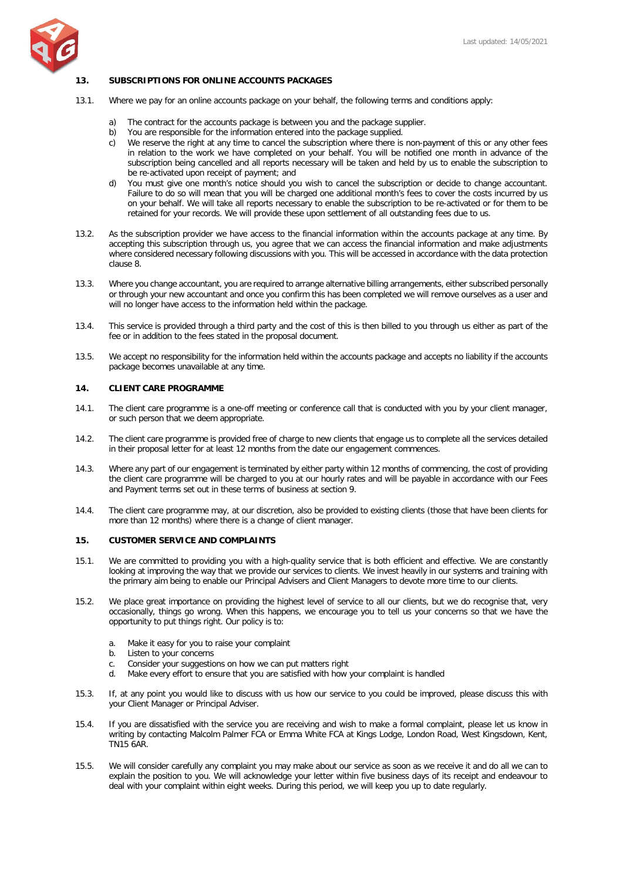

### **13. SUBSCRIPTIONS FOR ONLINE ACCOUNTS PACKAGES**

- 13.1. Where we pay for an online accounts package on your behalf, the following terms and conditions apply:
	- a) The contract for the accounts package is between you and the package supplier.
	- b) You are responsible for the information entered into the package supplied.
	- c) We reserve the right at any time to cancel the subscription where there is non-payment of this or any other fees in relation to the work we have completed on your behalf. You will be notified one month in advance of the subscription being cancelled and all reports necessary will be taken and held by us to enable the subscription to be re-activated upon receipt of payment; and
	- d) You must give one month's notice should you wish to cancel the subscription or decide to change accountant. Failure to do so will mean that you will be charged one additional month's fees to cover the costs incurred by us on your behalf. We will take all reports necessary to enable the subscription to be re-activated or for them to be retained for your records. We will provide these upon settlement of all outstanding fees due to us.
- 13.2. As the subscription provider we have access to the financial information within the accounts package at any time. By accepting this subscription through us, you agree that we can access the financial information and make adjustments where considered necessary following discussions with you. This will be accessed in accordance with the data protection clause 8.
- 13.3. Where you change accountant, you are required to arrange alternative billing arrangements, either subscribed personally or through your new accountant and once you confirm this has been completed we will remove ourselves as a user and will no longer have access to the information held within the package.
- 13.4. This service is provided through a third party and the cost of this is then billed to you through us either as part of the fee or in addition to the fees stated in the proposal document.
- 13.5. We accept no responsibility for the information held within the accounts package and accepts no liability if the accounts package becomes unavailable at any time.

#### **14. CLIENT CARE PROGRAMME**

- 14.1. The client care programme is a one-off meeting or conference call that is conducted with you by your client manager, or such person that we deem appropriate.
- 14.2. The client care programme is provided free of charge to new clients that engage us to complete all the services detailed in their proposal letter for at least 12 months from the date our engagement commences.
- 14.3. Where any part of our engagement is terminated by either party within 12 months of commencing, the cost of providing the client care programme will be charged to you at our hourly rates and will be payable in accordance with our Fees and Payment terms set out in these terms of business at section 9.
- 14.4. The client care programme may, at our discretion, also be provided to existing clients (those that have been clients for more than 12 months) where there is a change of client manager.

#### **15. CUSTOMER SERVICE AND COMPLAINTS**

- 15.1. We are committed to providing you with a high-quality service that is both efficient and effective. We are constantly looking at improving the way that we provide our services to clients. We invest heavily in our systems and training with the primary aim being to enable our Principal Advisers and Client Managers to devote more time to our clients.
- 15.2. We place great importance on providing the highest level of service to all our clients, but we do recognise that, very occasionally, things go wrong. When this happens, we encourage you to tell us your concerns so that we have the opportunity to put things right. Our policy is to:
	- a. Make it easy for you to raise your complaint
	- b. Listen to your concerns
	- c. Consider your suggestions on how we can put matters right
	- d. Make every effort to ensure that you are satisfied with how your complaint is handled
- 15.3. If, at any point you would like to discuss with us how our service to you could be improved, please discuss this with your Client Manager or Principal Adviser.
- 15.4. If you are dissatisfied with the service you are receiving and wish to make a formal complaint, please let us know in writing by contacting Malcolm Palmer FCA or Emma White FCA at Kings Lodge, London Road, West Kingsdown, Kent, TN15 6AR.
- 15.5. We will consider carefully any complaint you may make about our service as soon as we receive it and do all we can to explain the position to you. We will acknowledge your letter within five business days of its receipt and endeavour to deal with your complaint within eight weeks. During this period, we will keep you up to date regularly.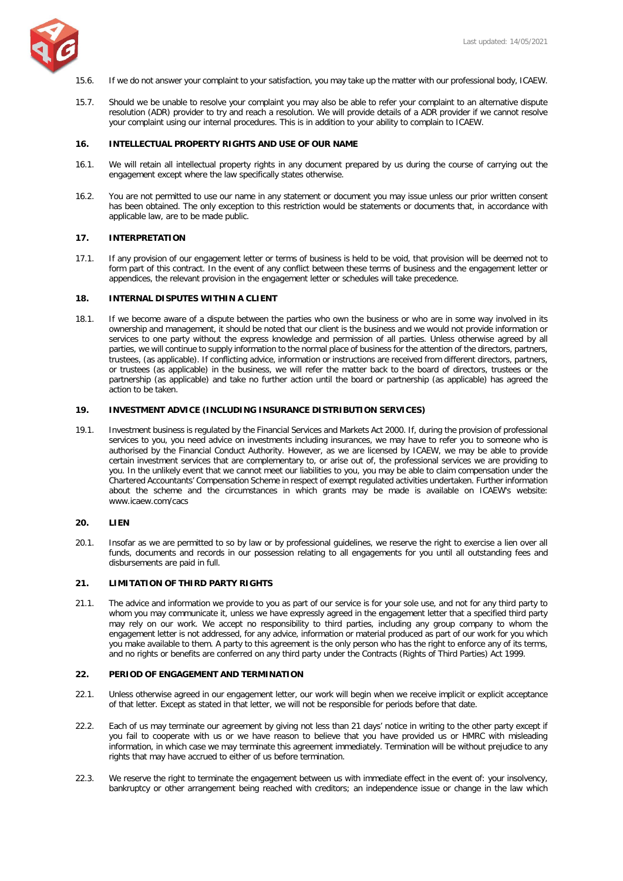

- 15.6. If we do not answer your complaint to your satisfaction, you may take up the matter with our professional body, ICAEW.
- 15.7. Should we be unable to resolve your complaint you may also be able to refer your complaint to an alternative dispute resolution (ADR) provider to try and reach a resolution. We will provide details of a ADR provider if we cannot resolve your complaint using our internal procedures. This is in addition to your ability to complain to ICAEW.

### **16. INTELLECTUAL PROPERTY RIGHTS AND USE OF OUR NAME**

- 16.1. We will retain all intellectual property rights in any document prepared by us during the course of carrying out the engagement except where the law specifically states otherwise.
- 16.2. You are not permitted to use our name in any statement or document you may issue unless our prior written consent has been obtained. The only exception to this restriction would be statements or documents that, in accordance with applicable law, are to be made public.

### **17. INTERPRETATION**

17.1. If any provision of our engagement letter or terms of business is held to be void, that provision will be deemed not to form part of this contract. In the event of any conflict between these terms of business and the engagement letter or appendices, the relevant provision in the engagement letter or schedules will take precedence.

### **18. INTERNAL DISPUTES WITHIN A CLIENT**

18.1. If we become aware of a dispute between the parties who own the business or who are in some way involved in its ownership and management, it should be noted that our client is the business and we would not provide information or services to one party without the express knowledge and permission of all parties. Unless otherwise agreed by all parties, we will continue to supply information to the normal place of business for the attention of the directors, partners, trustees, (as applicable). If conflicting advice, information or instructions are received from different directors, partners, or trustees (as applicable) in the business, we will refer the matter back to the board of directors, trustees or the partnership (as applicable) and take no further action until the board or partnership (as applicable) has agreed the action to be taken.

### **19. INVESTMENT ADVICE (INCLUDING INSURANCE DISTRIBUTION SERVICES)**

19.1. Investment business is regulated by the Financial Services and Markets Act 2000. If, during the provision of professional services to you, you need advice on investments including insurances, we may have to refer you to someone who is authorised by the Financial Conduct Authority. However, as we are licensed by ICAEW, we may be able to provide certain investment services that are complementary to, or arise out of, the professional services we are providing to you. In the unlikely event that we cannot meet our liabilities to you, you may be able to claim compensation under the Chartered Accountants' Compensation Scheme in respect of exempt regulated activities undertaken. Further information about the scheme and the circumstances in which grants may be made is available on ICAEW's website: [www.icaew.com/cacs](http://www.icaew.com/cacs) 

### **20. LIEN**

20.1. Insofar as we are permitted to so by law or by professional guidelines, we reserve the right to exercise a lien over all funds, documents and records in our possession relating to all engagements for you until all outstanding fees and disbursements are paid in full.

## **21. LIMITATION OF THIRD PARTY RIGHTS**

21.1. The advice and information we provide to you as part of our service is for your sole use, and not for any third party to whom you may communicate it, unless we have expressly agreed in the engagement letter that a specified third party may rely on our work. We accept no responsibility to third parties, including any group company to whom the engagement letter is not addressed, for any advice, information or material produced as part of our work for you which you make available to them. A party to this agreement is the only person who has the right to enforce any of its terms, and no rights or benefits are conferred on any third party under the Contracts (Rights of Third Parties) Act 1999.

### **22. PERIOD OF ENGAGEMENT AND TERMINATION**

- 22.1. Unless otherwise agreed in our engagement letter, our work will begin when we receive implicit or explicit acceptance of that letter. Except as stated in that letter, we will not be responsible for periods before that date.
- 22.2. Each of us may terminate our agreement by giving not less than 21 days' notice in writing to the other party except if you fail to cooperate with us or we have reason to believe that you have provided us or HMRC with misleading information, in which case we may terminate this agreement immediately. Termination will be without prejudice to any rights that may have accrued to either of us before termination.
- 22.3. We reserve the right to terminate the engagement between us with immediate effect in the event of: your insolvency, bankruptcy or other arrangement being reached with creditors; an independence issue or change in the law which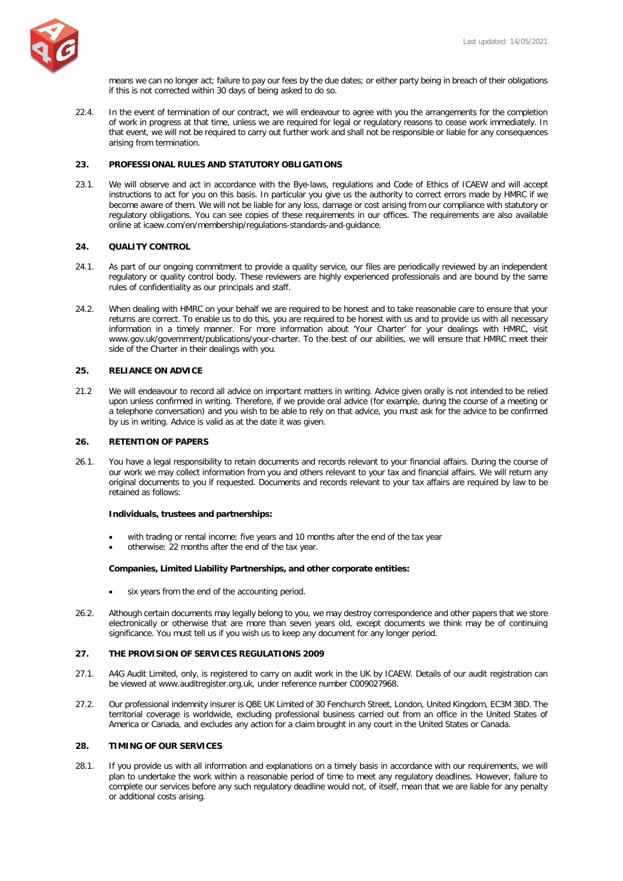

means we can no longer act; failure to pay our fees by the due dates; or either party being in breach of their obligations if this is not corrected within 30 days of being asked to do so.

22.4. In the event of termination of our contract, we will endeavour to agree with you the arrangements for the completion of work in progress at that time, unless we are required for legal or regulatory reasons to cease work immediately. In that event, we will not be required to carry out further work and shall not be responsible or liable for any consequences arising from termination.

### **23. PROFESSIONAL RULES AND STATUTORY OBLIGATIONS**

23.1. We will observe and act in accordance with the Bye-laws, regulations and Code of Ethics of ICAEW and will accept instructions to act for you on this basis. In particular you give us the authority to correct errors made by HMRC if we become aware of them. We will not be liable for any loss, damage or cost arising from our compliance with statutory or regulatory obligations. You can see copies of these requirements in our offices. The requirements are also available online at [icaew.com/en/membership/regulations-standards-and-guidance.](http://www.icaew.com/en/membership/regulations-standards-and-guidance)

#### **24. QUALITY CONTROL**

- 24.1. As part of our ongoing commitment to provide a quality service, our files are periodically reviewed by an independent regulatory or quality control body. These reviewers are highly experienced professionals and are bound by the same rules of confidentiality as our principals and staff.
- 24.2. When dealing with HMRC on your behalf we are required to be honest and to take reasonable care to ensure that your returns are correct. To enable us to do this, you are required to be honest with us and to provide us with all necessary information in a timely manner. For more information about 'Your Charter' for your dealings with HMRC, visit [www.gov.uk/government/publications/your-charter.](http://www.gov.uk/government/publications/your-charter) To the best of our abilities, we will ensure that HMRC meet their side of the Charter in their dealings with you.

### **25. RELIANCE ON ADVICE**

21.2 We will endeavour to record all advice on important matters in writing. Advice given orally is not intended to be relied upon unless confirmed in writing. Therefore, if we provide oral advice (for example, during the course of a meeting or a telephone conversation) and you wish to be able to rely on that advice, you must ask for the advice to be confirmed by us in writing. Advice is valid as at the date it was given.

## **26. RETENTION OF PAPERS**

26.1. You have a legal responsibility to retain documents and records relevant to your financial affairs. During the course of our work we may collect information from you and others relevant to your tax and financial affairs. We will return any original documents to you if requested. Documents and records relevant to your tax affairs are required by law to be retained as follows:

#### **Individuals, trustees and partnerships:**

- with trading or rental income: five years and 10 months after the end of the tax year
- otherwise: 22 months after the end of the tax year.

#### **Companies, Limited Liability Partnerships, and other corporate entities:**

- six years from the end of the accounting period.
- 26.2. Although certain documents may legally belong to you, we may destroy correspondence and other papers that we store electronically or otherwise that are more than seven years old, except documents we think may be of continuing significance. You must tell us if you wish us to keep any document for any longer period.

#### **27. THE PROVISION OF SERVICES REGULATIONS 2009**

- 27.1. A4G Audit Limited, only, is registered to carry on audit work in the UK by ICAEW. Details of our audit registration can be viewed at www.auditregister.org.uk, under reference number C009027968.
- 27.2. Our professional indemnity insurer is QBE UK Limited of 30 Fenchurch Street, London, United Kingdom, EC3M 3BD. The territorial coverage is worldwide, excluding professional business carried out from an office in the United States of America or Canada, and excludes any action for a claim brought in any court in the United States or Canada.

#### **28. TIMING OF OUR SERVICES**

28.1. If you provide us with all information and explanations on a timely basis in accordance with our requirements, we will plan to undertake the work within a reasonable period of time to meet any regulatory deadlines. However, failure to complete our services before any such regulatory deadline would not, of itself, mean that we are liable for any penalty or additional costs arising.